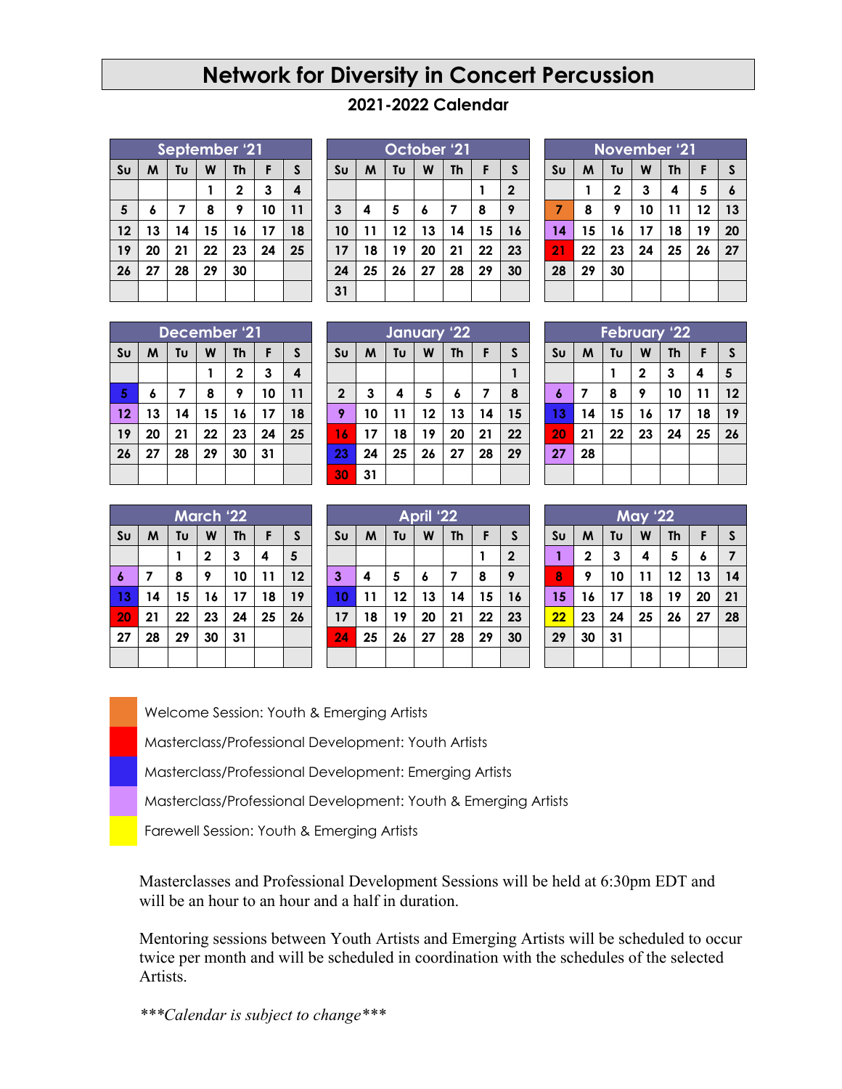## **Network for Diversity in Concert Percussion**

## **2021-2022 Calendar**

| September '21  |    |    |    |              |    |    |
|----------------|----|----|----|--------------|----|----|
| S <sub>U</sub> | M  | Tυ | W  | <b>Th</b>    | F  | S  |
|                |    |    |    | $\mathbf{2}$ | 3  | 4  |
| 5              | 6  | 7  | 8  | 9            | 10 | 11 |
| 12             | 13 | 14 | 15 | 16           | 17 | 18 |
| 19             | 20 | 21 | 22 | 23           | 24 | 25 |
| 26             | 27 | 28 | 29 | 30           |    |    |
|                |    |    |    |              |    |    |

| October '21    |    |    |             |           |    |    |  |  |
|----------------|----|----|-------------|-----------|----|----|--|--|
| S <sub>U</sub> | M  | Tυ | W           | <b>Th</b> | F  | S  |  |  |
|                |    |    | $\mathbf 2$ |           |    |    |  |  |
| $\mathbf{3}$   | 4  | 5  | 6           | 7         | 8  | 9  |  |  |
| 10             | 11 | 12 | 13          | 14        | 15 | 16 |  |  |
| 17             | 18 | 19 | 20          | 21        | 22 | 23 |  |  |
| 24             | 25 | 26 | 27          | 28        | 29 | 30 |  |  |
| 31             |    |    |             |           |    |    |  |  |

| <b>November '21</b> |    |             |    |           |    |    |  |  |
|---------------------|----|-------------|----|-----------|----|----|--|--|
| S <sub>U</sub>      | M  | Tu          | W  | <b>Th</b> | F  | S  |  |  |
|                     |    | $\mathbf 2$ | 3  | 4         | 5  | 6  |  |  |
| 7                   | 8  | 9           | 10 | 11        | 12 | 13 |  |  |
| 14                  | 15 | 16          | 17 | 18        | 19 | 20 |  |  |
| 21                  | 22 | 23          | 24 | 25        | 26 | 27 |  |  |
| 28                  | 29 | 30          |    |           |    |    |  |  |
|                     |    |             |    |           |    |    |  |  |

| December '21   |    |    |    |              |    |    |  |
|----------------|----|----|----|--------------|----|----|--|
| S <sub>U</sub> | M  | Tυ | W  | <b>Th</b>    | F  | S  |  |
|                |    |    |    | $\mathbf{2}$ | 3  | 4  |  |
| 5              | 6  | 7  | 8  | 9            | 10 | 11 |  |
| 12             | 13 | 14 | 15 | 16           | 17 | 18 |  |
| 19             | 20 | 21 | 22 | 23           | 24 | 25 |  |
| 26             | 27 | 28 | 29 | 30           | 31 |    |  |
|                |    |    |    |              |    |    |  |

| January 22     |    |    |    |    |    |    |  |
|----------------|----|----|----|----|----|----|--|
| S <sub>U</sub> | M  | Tυ | W  | Th | F  | S  |  |
|                |    |    |    |    |    |    |  |
| $\mathbf 2$    | 3  | 4  | 5  | 6  | 7  | 8  |  |
| 9              | 10 | 11 | 12 | 13 | 14 | 15 |  |
| 16             | 17 | 18 | 19 | 20 | 21 | 22 |  |
| 23             | 24 | 25 | 26 | 27 | 28 | 29 |  |
| 30             | 31 |    |    |    |    |    |  |

| <b>February '22</b> |    |    |    |           |    |    |  |  |
|---------------------|----|----|----|-----------|----|----|--|--|
| S <sub>U</sub>      | M  | Tυ | W  | <b>Th</b> | F  | S  |  |  |
|                     |    |    | 2  | 3         | 4  | 5  |  |  |
| $\boldsymbol{6}$    | 7  | 8  | 9  | 10        | 11 | 12 |  |  |
| 13                  | 14 | 15 | 16 | 17        | 18 | 19 |  |  |
| 20                  | 21 | 22 | 23 | 24        | 25 | 26 |  |  |
| 27                  | 28 |    |    |           |    |    |  |  |
|                     |    |    |    |           |    |    |  |  |

| <b>March '22</b> |    |    |              |           |    |              |  |  |
|------------------|----|----|--------------|-----------|----|--------------|--|--|
| S <sub>U</sub>   | M  | Tu | W            | <b>Th</b> | F  | $\mathsf{s}$ |  |  |
|                  |    |    | $\mathbf{2}$ | 3         | 4  | 5            |  |  |
| 6                | 7  | 8  | 9            | 10        | 11 | 12           |  |  |
| 13               | 14 | 15 | 16           | 17        | 18 | 19           |  |  |
| 20               | 21 | 22 | 23           | 24        | 25 | 26           |  |  |
| 27               | 28 | 29 | 30           | 31        |    |              |  |  |
|                  |    |    |              |           |    |              |  |  |

| <b>April '22</b> |    |    |    |           |    |                |  |
|------------------|----|----|----|-----------|----|----------------|--|
| S <sub>U</sub>   | M  | Tυ | W  | <b>Th</b> | F  | S              |  |
|                  |    |    |    |           |    | $\overline{2}$ |  |
| $\mathbf{3}$     | 4  | 5  | 6  | 7         | 8  | 9              |  |
| 10               | 11 | 12 | 13 | 14        | 15 | 16             |  |
| 17               | 18 | 19 | 20 | 21        | 22 | 23             |  |
| 24               | 25 | 26 | 27 | 28        | 29 | 30             |  |
|                  |    |    |    |           |    |                |  |

| <b>May '22</b> |             |    |    |           |    |              |  |  |
|----------------|-------------|----|----|-----------|----|--------------|--|--|
| S <sub>U</sub> | M           | Tu | W  | <b>Th</b> | F  | $\mathsf{s}$ |  |  |
| 1              | $\mathbf 2$ | 3  | 4  | 5         | 6  | 7            |  |  |
| 8              | 9           | 10 | 11 | 12        | 13 | 14           |  |  |
| 15             | 16          | 17 | 18 | 19        | 20 | 21           |  |  |
| 22             | 23          | 24 | 25 | 26        | 27 | 28           |  |  |
| 29             | 30          | 31 |    |           |    |              |  |  |
|                |             |    |    |           |    |              |  |  |

Welcome Session: Youth & Emerging Artists

r Masterclass/Professional Development: Youth Artists

b Masterclass/Professional Development: Emerging Artists

p Masterclass/Professional Development: Youth & Emerging Artists

Farewell Session: Youth & Emerging Artists

Masterclasses and Professional Development Sessions will be held at 6:30pm EDT and will be an hour to an hour and a half in duration.

Mentoring sessions between Youth Artists and Emerging Artists will be scheduled to occur twice per month and will be scheduled in coordination with the schedules of the selected Artists.

*\*\*\*Calendar is subject to change\*\*\**